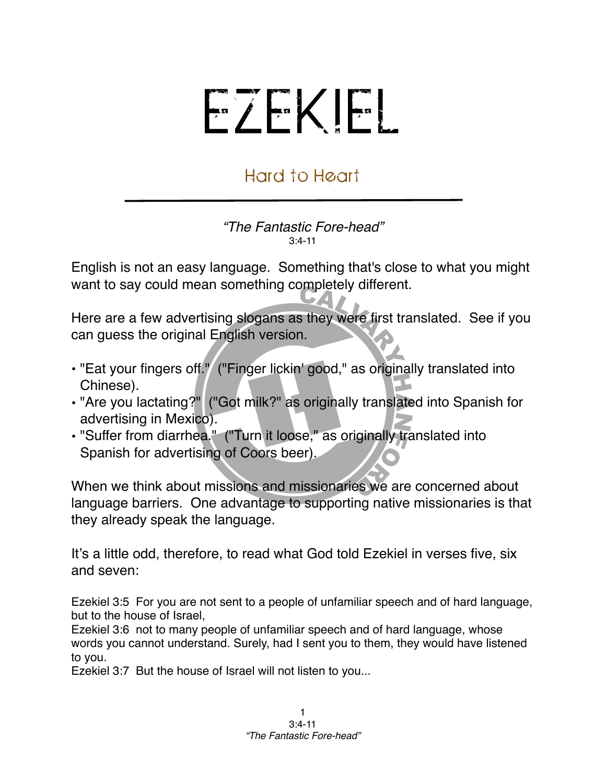## EZEKIEL

## Hard to Heart

*"The Fantastic Fore-head"* 3:4-11

English is not an easy language. Something that's close to what you might want to say could mean something completely different.

Here are a few advertising slogans as they were first translated. See if you can guess the original English version.

- "Eat your fingers off." ("Finger lickin' good," as originally translated into Chinese).
- "Are you lactating?" ("Got milk?" as originally translated into Spanish for advertising in Mexico).
- "Suffer from diarrhea." ("Turn it loose," as originally translated into Spanish for advertising of Coors beer).

When we think about missions and missionaries we are concerned about language barriers. One advantage to supporting native missionaries is that they already speak the language.

It's a little odd, therefore, to read what God told Ezekiel in verses five, six and seven:

Ezekiel 3:5 For you are not sent to a people of unfamiliar speech and of hard language, but to the house of Israel,

Ezekiel 3:6 not to many people of unfamiliar speech and of hard language, whose words you cannot understand. Surely, had I sent you to them, they would have listened to you.

Ezekiel 3:7 But the house of Israel will not listen to you...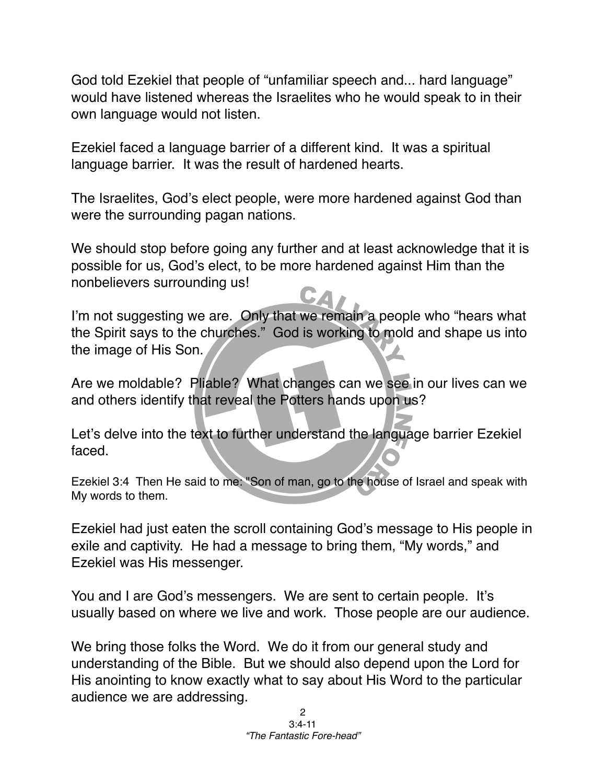God told Ezekiel that people of "unfamiliar speech and... hard language" would have listened whereas the Israelites who he would speak to in their own language would not listen.

Ezekiel faced a language barrier of a different kind. It was a spiritual language barrier. It was the result of hardened hearts.

The Israelites, God's elect people, were more hardened against God than were the surrounding pagan nations.

We should stop before going any further and at least acknowledge that it is possible for us, God's elect, to be more hardened against Him than the nonbelievers surrounding us!

I'm not suggesting we are. Only that we remain a people who "hears what the Spirit says to the churches." God is working to mold and shape us into the image of His Son.

Are we moldable? Pliable? What changes can we see in our lives can we and others identify that reveal the Potters hands upon us?

Let's delve into the text to further understand the language barrier Ezekiel faced.

Ezekiel 3:4 Then He said to me: "Son of man, go to the house of Israel and speak with My words to them.

Ezekiel had just eaten the scroll containing God's message to His people in exile and captivity. He had a message to bring them, "My words," and Ezekiel was His messenger.

You and I are God's messengers. We are sent to certain people. It's usually based on where we live and work. Those people are our audience.

We bring those folks the Word. We do it from our general study and understanding of the Bible. But we should also depend upon the Lord for His anointing to know exactly what to say about His Word to the particular audience we are addressing.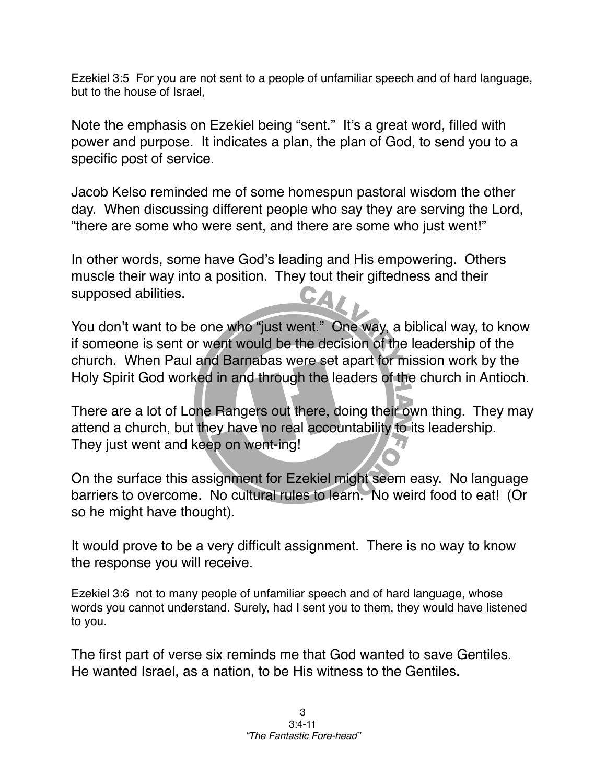Ezekiel 3:5 For you are not sent to a people of unfamiliar speech and of hard language, but to the house of Israel,

Note the emphasis on Ezekiel being "sent." It's a great word, filled with power and purpose. It indicates a plan, the plan of God, to send you to a specific post of service.

Jacob Kelso reminded me of some homespun pastoral wisdom the other day. When discussing different people who say they are serving the Lord, "there are some who were sent, and there are some who just went!"

In other words, some have God's leading and His empowering. Others muscle their way into a position. They tout their giftedness and their supposed abilities.

You don't want to be one who "just went." One way, a biblical way, to know if someone is sent or went would be the decision of the leadership of the church. When Paul and Barnabas were set apart for mission work by the Holy Spirit God worked in and through the leaders of the church in Antioch.

There are a lot of Lone Rangers out there, doing their own thing. They may attend a church, but they have no real accountability to its leadership. They just went and keep on went-ing!

On the surface this assignment for Ezekiel might seem easy. No language barriers to overcome. No cultural rules to learn. No weird food to eat! (Or so he might have thought).

It would prove to be a very difficult assignment. There is no way to know the response you will receive.

Ezekiel 3:6 not to many people of unfamiliar speech and of hard language, whose words you cannot understand. Surely, had I sent you to them, they would have listened to you.

The first part of verse six reminds me that God wanted to save Gentiles. He wanted Israel, as a nation, to be His witness to the Gentiles.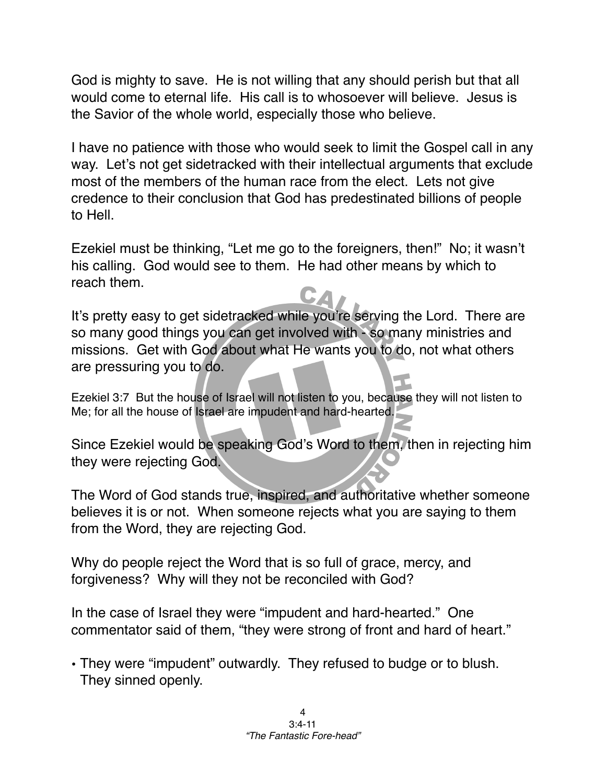God is mighty to save. He is not willing that any should perish but that all would come to eternal life. His call is to whosoever will believe. Jesus is the Savior of the whole world, especially those who believe.

I have no patience with those who would seek to limit the Gospel call in any way. Let's not get sidetracked with their intellectual arguments that exclude most of the members of the human race from the elect. Lets not give credence to their conclusion that God has predestinated billions of people to Hell.

Ezekiel must be thinking, "Let me go to the foreigners, then!" No; it wasn't his calling. God would see to them. He had other means by which to reach them.

It's pretty easy to get sidetracked while you're serving the Lord. There are so many good things you can get involved with - so many ministries and missions. Get with God about what He wants you to do, not what others are pressuring you to do.

Ezekiel 3:7 But the house of Israel will not listen to you, because they will not listen to Me; for all the house of Israel are impudent and hard-hearted.

Since Ezekiel would be speaking God's Word to them, then in rejecting him they were rejecting God.

The Word of God stands true, inspired, and authoritative whether someone believes it is or not. When someone rejects what you are saying to them from the Word, they are rejecting God.

Why do people reject the Word that is so full of grace, mercy, and forgiveness? Why will they not be reconciled with God?

In the case of Israel they were "impudent and hard-hearted." One commentator said of them, "they were strong of front and hard of heart."

• They were "impudent" outwardly. They refused to budge or to blush. They sinned openly.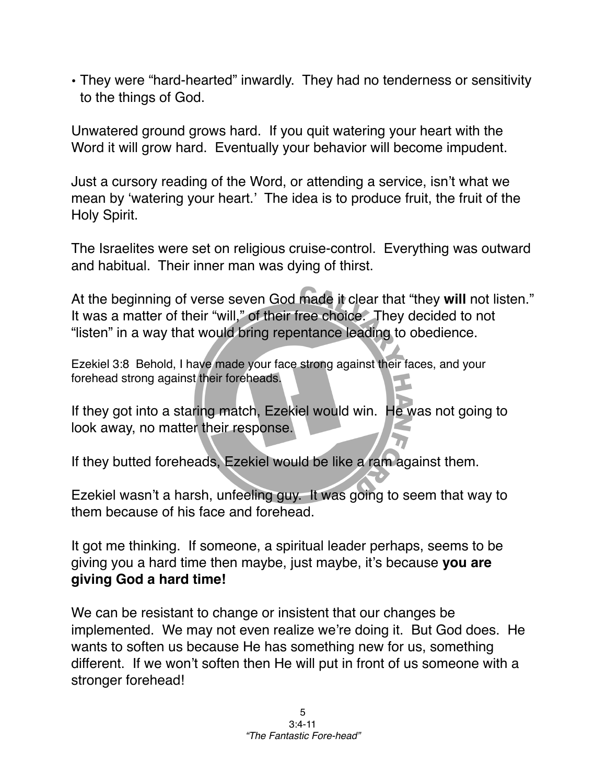• They were "hard-hearted" inwardly. They had no tenderness or sensitivity to the things of God.

Unwatered ground grows hard. If you quit watering your heart with the Word it will grow hard. Eventually your behavior will become impudent.

Just a cursory reading of the Word, or attending a service, isn't what we mean by ʻwatering your heart.' The idea is to produce fruit, the fruit of the Holy Spirit.

The Israelites were set on religious cruise-control. Everything was outward and habitual. Their inner man was dying of thirst.

At the beginning of verse seven God made it clear that "they **will** not listen." It was a matter of their "will," of their free choice. They decided to not "listen" in a way that would bring repentance leading to obedience.

Ezekiel 3:8 Behold, I have made your face strong against their faces, and your forehead strong against their foreheads.

If they got into a staring match, Ezekiel would win. He was not going to look away, no matter their response.

If they butted foreheads, Ezekiel would be like a ram against them.

Ezekiel wasn't a harsh, unfeeling guy. It was going to seem that way to them because of his face and forehead.

It got me thinking. If someone, a spiritual leader perhaps, seems to be giving you a hard time then maybe, just maybe, it's because **you are giving God a hard time!**

We can be resistant to change or insistent that our changes be implemented. We may not even realize we're doing it. But God does. He wants to soften us because He has something new for us, something different. If we won't soften then He will put in front of us someone with a stronger forehead!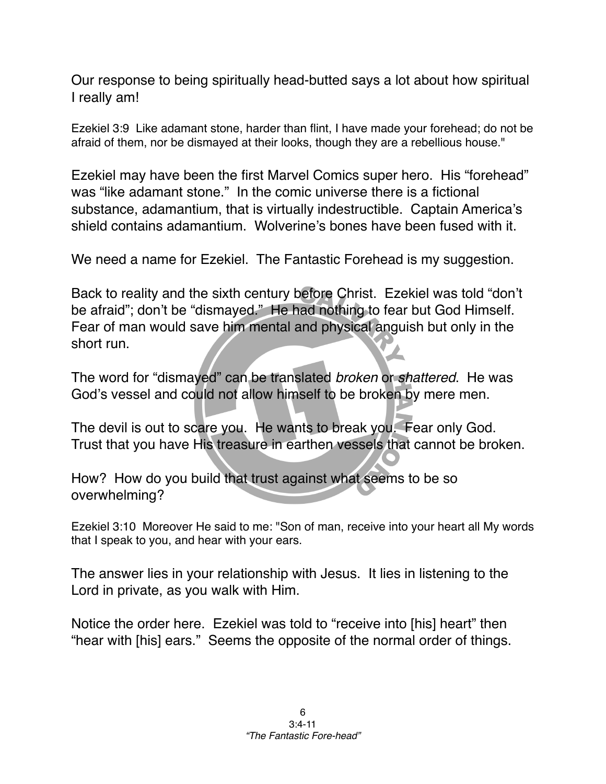Our response to being spiritually head-butted says a lot about how spiritual I really am!

Ezekiel 3:9 Like adamant stone, harder than flint, I have made your forehead; do not be afraid of them, nor be dismayed at their looks, though they are a rebellious house."

Ezekiel may have been the first Marvel Comics super hero. His "forehead" was "like adamant stone." In the comic universe there is a fictional substance, adamantium, that is virtually indestructible. Captain America's shield contains adamantium. Wolverine's bones have been fused with it.

We need a name for Ezekiel. The Fantastic Forehead is my suggestion.

Back to reality and the sixth century before Christ. Ezekiel was told "don't be afraid"; don't be "dismayed." He had nothing to fear but God Himself. Fear of man would save him mental and physical anguish but only in the short run.

The word for "dismayed" can be translated *broken* or *shattered*. He was God's vessel and could not allow himself to be broken by mere men.

The devil is out to scare you. He wants to break you. Fear only God. Trust that you have His treasure in earthen vessels that cannot be broken.

How? How do you build that trust against what seems to be so overwhelming?

Ezekiel 3:10 Moreover He said to me: "Son of man, receive into your heart all My words that I speak to you, and hear with your ears.

The answer lies in your relationship with Jesus. It lies in listening to the Lord in private, as you walk with Him.

Notice the order here. Ezekiel was told to "receive into [his] heart" then "hear with [his] ears." Seems the opposite of the normal order of things.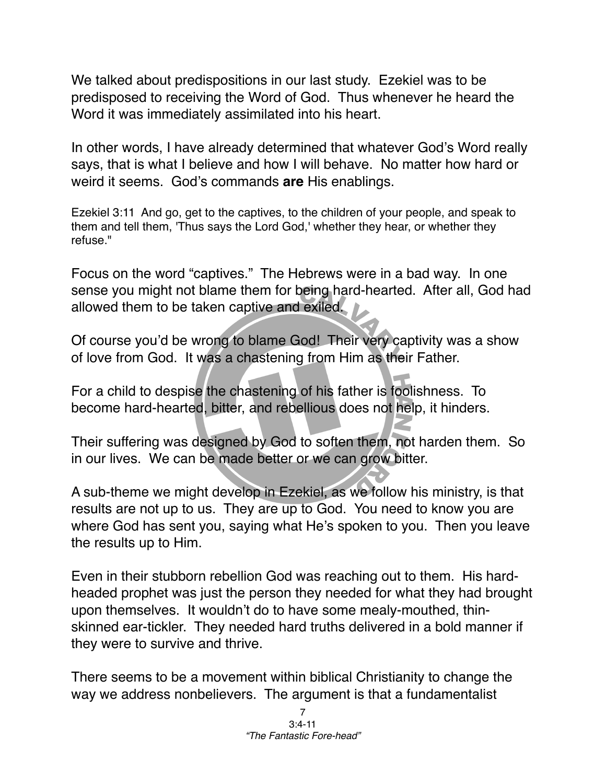We talked about predispositions in our last study. Ezekiel was to be predisposed to receiving the Word of God. Thus whenever he heard the Word it was immediately assimilated into his heart.

In other words, I have already determined that whatever God's Word really says, that is what I believe and how I will behave. No matter how hard or weird it seems. God's commands **are** His enablings.

Ezekiel 3:11 And go, get to the captives, to the children of your people, and speak to them and tell them, 'Thus says the Lord God,' whether they hear, or whether they refuse."

Focus on the word "captives." The Hebrews were in a bad way. In one sense you might not blame them for being hard-hearted. After all, God had allowed them to be taken captive and exiled.

Of course you'd be wrong to blame God! Their very captivity was a show of love from God. It was a chastening from Him as their Father.

For a child to despise the chastening of his father is foolishness. To become hard-hearted, bitter, and rebellious does not help, it hinders.

Their suffering was designed by God to soften them, not harden them. So in our lives. We can be made better or we can grow bitter.

A sub-theme we might develop in Ezekiel, as we follow his ministry, is that results are not up to us. They are up to God. You need to know you are where God has sent you, saying what He's spoken to you. Then you leave the results up to Him.

Even in their stubborn rebellion God was reaching out to them. His hardheaded prophet was just the person they needed for what they had brought upon themselves. It wouldn't do to have some mealy-mouthed, thinskinned ear-tickler. They needed hard truths delivered in a bold manner if they were to survive and thrive.

There seems to be a movement within biblical Christianity to change the way we address nonbelievers. The argument is that a fundamentalist